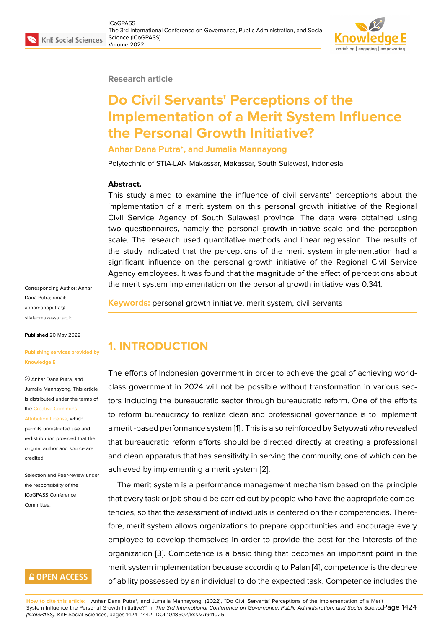#### **Research article**

# **Do Civil Servants' Perceptions of the Implementation of a Merit System Influence the Personal Growth Initiative?**

**Anhar Dana Putra\*, and Jumalia Mannayong**

Polytechnic of STIA-LAN Makassar, Makassar, South Sulawesi, Indonesia

#### **Abstract.**

This study aimed to examine the influence of civil servants' perceptions about the implementation of a merit system on this personal growth initiative of the Regional Civil Service Agency of South Sulawesi province. The data were obtained using two questionnaires, namely the personal growth initiative scale and the perception scale. The research used quantitative methods and linear regression. The results of the study indicated that the perceptions of the merit system implementation had a significant influence on the personal growth initiative of the Regional Civil Service Agency employees. It was found that the magnitude of the effect of perceptions about the merit system implementation on the personal growth initiative was 0.341.

Corresponding Author: Anhar Dana Putra; email: anhardanaputra@ stialanmakassar.ac.id

**Published** 20 May 2022

#### **[Publishing services p](mailto:anhardanaputra@stialanmakassar.ac.id)rovided by Knowledge E**

Anhar Dana Putra, and Jumalia Mannayong. This article is distributed under the terms of the Creative Commons Attribution License, which

permits unrestricted use and redistribution provided that the orig[inal author and sou](https://creativecommons.org/licenses/by/4.0/)rce are [credited.](https://creativecommons.org/licenses/by/4.0/)

Selection and Peer-review under the responsibility of the ICoGPASS Conference Committee.

## **GOPEN ACCESS**

**Keywords:** personal growth initiative, merit system, civil servants

# **1. INTRODUCTION**

The efforts of Indonesian government in order to achieve the goal of achieving worldclass government in 2024 will not be possible without transformation in various sectors including the bureaucratic sector through bureaucratic reform. One of the efforts to reform bureaucracy to realize clean and professional governance is to implement a merit -based performance system [1] . This is also reinforced by Setyowati who revealed that bureaucratic reform efforts should be directed directly at creating a professional and clean apparatus that has sensitivity in serving the community, one of which can be achieved by implementing a merit [sy](#page-16-0)stem [2].

The merit system is a performance management mechanism based on the principle that every task or job should be carried out by people who have the appropriate competencies, so that the assessment of individu[als](#page-16-1) is centered on their competencies. Therefore, merit system allows organizations to prepare opportunities and encourage every employee to develop themselves in order to provide the best for the interests of the organization [3]. Competence is a basic thing that becomes an important point in the merit system implementation because according to Palan [4], competence is the degree of ability possessed by an individual to do the expected task. Competence includes the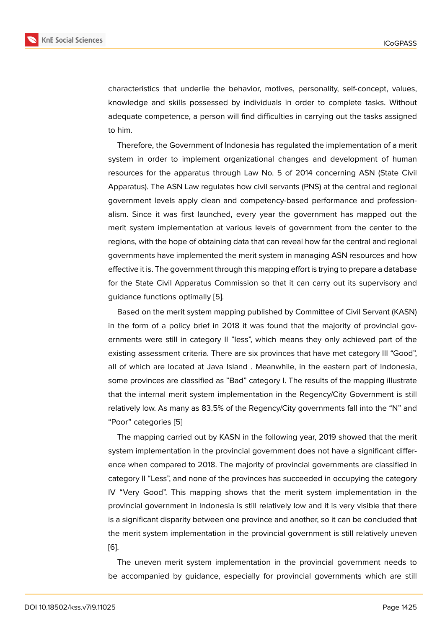characteristics that underlie the behavior, motives, personality, self-concept, values, knowledge and skills possessed by individuals in order to complete tasks. Without adequate competence, a person will find difficulties in carrying out the tasks assigned to him.

Therefore, the Government of Indonesia has regulated the implementation of a merit system in order to implement organizational changes and development of human resources for the apparatus through Law No. 5 of 2014 concerning ASN (State Civil Apparatus). The ASN Law regulates how civil servants (PNS) at the central and regional government levels apply clean and competency-based performance and professionalism. Since it was first launched, every year the government has mapped out the merit system implementation at various levels of government from the center to the regions, with the hope of obtaining data that can reveal how far the central and regional governments have implemented the merit system in managing ASN resources and how effective it is. The government through this mapping effort is trying to prepare a database for the State Civil Apparatus Commission so that it can carry out its supervisory and guidance functions optimally [5].

Based on the merit system mapping published by Committee of Civil Servant (KASN) in the form of a policy brief in 2018 it was found that the majority of provincial governments were still in catego[ry](#page-16-3) II "less", which means they only achieved part of the existing assessment criteria. There are six provinces that have met category III "Good", all of which are located at Java Island . Meanwhile, in the eastern part of Indonesia, some provinces are classified as "Bad" category I. The results of the mapping illustrate that the internal merit system implementation in the Regency/City Government is still relatively low. As many as 83.5% of the Regency/City governments fall into the "N" and "Poor" categories [5]

The mapping carried out by KASN in the following year, 2019 showed that the merit system implementation in the provincial government does not have a significant difference when compa[re](#page-16-3)d to 2018. The majority of provincial governments are classified in category II "Less", and none of the provinces has succeeded in occupying the category IV "Very Good". This mapping shows that the merit system implementation in the provincial government in Indonesia is still relatively low and it is very visible that there is a significant disparity between one province and another, so it can be concluded that the merit system implementation in the provincial government is still relatively uneven [6].

The uneven merit system implementation in the provincial government needs to be accompanied by guidance, especially for provincial governments which are still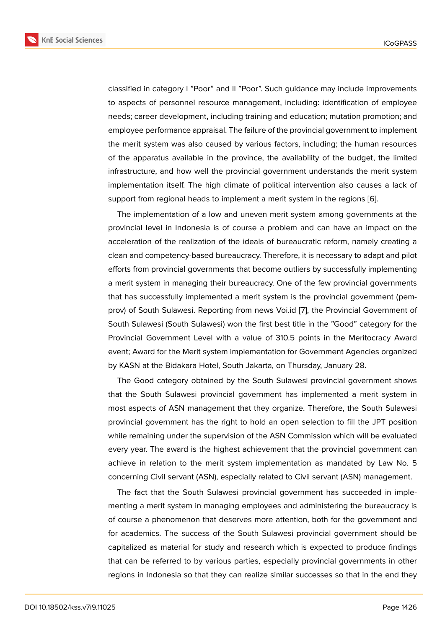classified in category I "Poor" and II "Poor". Such guidance may include improvements to aspects of personnel resource management, including: identification of employee needs; career development, including training and education; mutation promotion; and employee performance appraisal. The failure of the provincial government to implement the merit system was also caused by various factors, including; the human resources of the apparatus available in the province, the availability of the budget, the limited infrastructure, and how well the provincial government understands the merit system implementation itself. The high climate of political intervention also causes a lack of support from regional heads to implement a merit system in the regions [6].

The implementation of a low and uneven merit system among governments at the provincial level in Indonesia is of course a problem and can have an impact on the acceleration of the realization of the ideals of bureaucratic reform, nam[ely](#page-16-4) creating a clean and competency-based bureaucracy. Therefore, it is necessary to adapt and pilot efforts from provincial governments that become outliers by successfully implementing a merit system in managing their bureaucracy. One of the few provincial governments that has successfully implemented a merit system is the provincial government (pemprov) of South Sulawesi. Reporting from news Voi.id [7], the Provincial Government of South Sulawesi (South Sulawesi) won the first best title in the "Good" category for the Provincial Government Level with a value of 310.5 points in the Meritocracy Award event; Award for the Merit system implementation for [Go](#page-16-5)vernment Agencies organized by KASN at the Bidakara Hotel, South Jakarta, on Thursday, January 28.

The Good category obtained by the South Sulawesi provincial government shows that the South Sulawesi provincial government has implemented a merit system in most aspects of ASN management that they organize. Therefore, the South Sulawesi provincial government has the right to hold an open selection to fill the JPT position while remaining under the supervision of the ASN Commission which will be evaluated every year. The award is the highest achievement that the provincial government can achieve in relation to the merit system implementation as mandated by Law No. 5 concerning Civil servant (ASN), especially related to Civil servant (ASN) management.

The fact that the South Sulawesi provincial government has succeeded in implementing a merit system in managing employees and administering the bureaucracy is of course a phenomenon that deserves more attention, both for the government and for academics. The success of the South Sulawesi provincial government should be capitalized as material for study and research which is expected to produce findings that can be referred to by various parties, especially provincial governments in other regions in Indonesia so that they can realize similar successes so that in the end they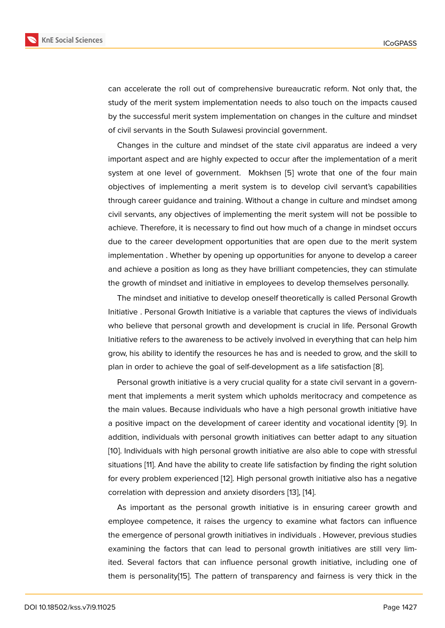can accelerate the roll out of comprehensive bureaucratic reform. Not only that, the study of the merit system implementation needs to also touch on the impacts caused by the successful merit system implementation on changes in the culture and mindset of civil servants in the South Sulawesi provincial government.

Changes in the culture and mindset of the state civil apparatus are indeed a very important aspect and are highly expected to occur after the implementation of a merit system at one level of government. Mokhsen [5] wrote that one of the four main objectives of implementing a merit system is to develop civil servant's capabilities through career guidance and training. Without a change in culture and mindset among civil servants, any objectives of implementing the [m](#page-16-3)erit system will not be possible to achieve. Therefore, it is necessary to find out how much of a change in mindset occurs due to the career development opportunities that are open due to the merit system implementation . Whether by opening up opportunities for anyone to develop a career and achieve a position as long as they have brilliant competencies, they can stimulate the growth of mindset and initiative in employees to develop themselves personally.

The mindset and initiative to develop oneself theoretically is called Personal Growth Initiative . Personal Growth Initiative is a variable that captures the views of individuals who believe that personal growth and development is crucial in life. Personal Growth Initiative refers to the awareness to be actively involved in everything that can help him grow, his ability to identify the resources he has and is needed to grow, and the skill to plan in order to achieve the goal of self-development as a life satisfaction [8].

Personal growth initiative is a very crucial quality for a state civil servant in a government that implements a merit system which upholds meritocracy and competence as the main values. Because individuals who have a high personal growth in[itia](#page-16-6)tive have a positive impact on the development of career identity and vocational identity [9]. In addition, individuals with personal growth initiatives can better adapt to any situation [10]. Individuals with high personal growth initiative are also able to cope with stressful situations [11]. And have the ability to create life satisfaction by finding the right so[lut](#page-16-7)ion for every problem experienced [12]. High personal growth initiative also has a negative [cor](#page-16-8)relation with depression and anxiety disorders [13], [14].

As imp[ort](#page-17-0)ant as the personal growth initiative is in ensuring career growth and employee competence, it raise[s t](#page-17-1)he urgency to examine what factors can influence the emergence of personal growth initiatives in in[divi](#page-17-2)d[ual](#page-17-3)s . However, previous studies examining the factors that can lead to personal growth initiatives are still very limited. Several factors that can influence personal growth initiative, including one of them is personality[15]. The pattern of transparency and fairness is very thick in the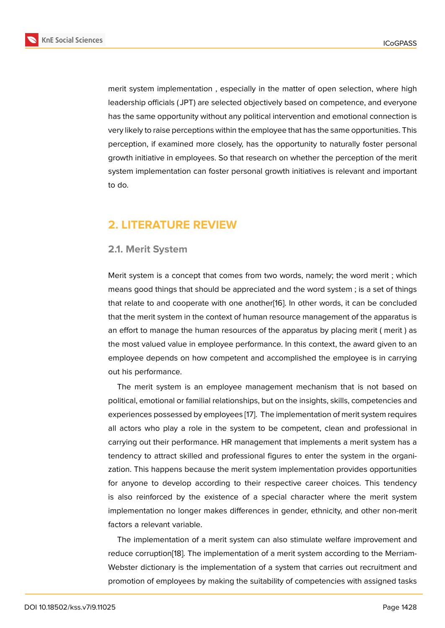merit system implementation , especially in the matter of open selection, where high leadership officials ( JPT) are selected objectively based on competence, and everyone has the same opportunity without any political intervention and emotional connection is very likely to raise perceptions within the employee that has the same opportunities. This perception, if examined more closely, has the opportunity to naturally foster personal growth initiative in employees. So that research on whether the perception of the merit system implementation can foster personal growth initiatives is relevant and important to do.

# **2. LITERATURE REVIEW**

### **2.1. Merit System**

Merit system is a concept that comes from two words, namely; the word merit ; which means good things that should be appreciated and the word system ; is a set of things that relate to and cooperate with one another[16]. In other words, it can be concluded that the merit system in the context of human resource management of the apparatus is an effort to manage the human resources of the apparatus by placing merit ( merit ) as the most valued value in employee performan[ce.](#page-17-4) In this context, the award given to an employee depends on how competent and accomplished the employee is in carrying out his performance.

The merit system is an employee management mechanism that is not based on political, emotional or familial relationships, but on the insights, skills, competencies and experiences possessed by employees [17]. The implementation of merit system requires all actors who play a role in the system to be competent, clean and professional in carrying out their performance. HR management that implements a merit system has a tendency to attract skilled and profes[sio](#page-17-5)nal figures to enter the system in the organization. This happens because the merit system implementation provides opportunities for anyone to develop according to their respective career choices. This tendency is also reinforced by the existence of a special character where the merit system implementation no longer makes differences in gender, ethnicity, and other non-merit factors a relevant variable.

The implementation of a merit system can also stimulate welfare improvement and reduce corruption[18]. The implementation of a merit system according to the Merriam-Webster dictionary is the implementation of a system that carries out recruitment and promotion of employees by making the suitability of competencies with assigned tasks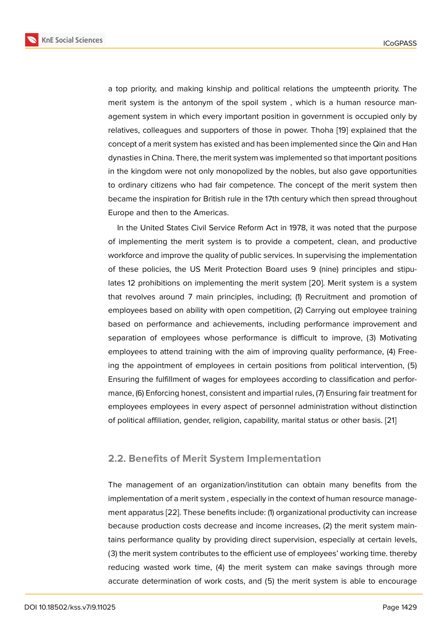a top priority, and making kinship and political relations the umpteenth priority. The merit system is the antonym of the spoil system , which is a human resource management system in which every important position in government is occupied only by relatives, colleagues and supporters of those in power. Thoha [19] explained that the concept of a merit system has existed and has been implemented since the Qin and Han dynasties in China. There, the merit system was implemented so that important positions in the kingdom were not only monopolized by the nobles, but a[lso](#page-17-6) gave opportunities to ordinary citizens who had fair competence. The concept of the merit system then became the inspiration for British rule in the 17th century which then spread throughout Europe and then to the Americas.

In the United States Civil Service Reform Act in 1978, it was noted that the purpose of implementing the merit system is to provide a competent, clean, and productive workforce and improve the quality of public services. In supervising the implementation of these policies, the US Merit Protection Board uses 9 (nine) principles and stipulates 12 prohibitions on implementing the merit system [20]. Merit system is a system that revolves around 7 main principles, including; (1) Recruitment and promotion of employees based on ability with open competition, (2) Carrying out employee training based on performance and achievements, including p[erfo](#page-17-7)rmance improvement and separation of employees whose performance is difficult to improve, (3) Motivating employees to attend training with the aim of improving quality performance, (4) Freeing the appointment of employees in certain positions from political intervention, (5) Ensuring the fulfillment of wages for employees according to classification and performance, (6) Enforcing honest, consistent and impartial rules, (7) Ensuring fair treatment for employees employees in every aspect of personnel administration without distinction of political affiliation, gender, religion, capability, marital status or other basis. [21]

### **2.2. Benefits of Merit System Implementation**

The management of an organization/institution can obtain many benefits from the implementation of a merit system , especially in the context of human resource management apparatus [22]. These benefits include: (1) organizational productivity can increase because production costs decrease and income increases, (2) the merit system maintains performance quality by providing direct supervision, especially at certain levels, (3) the merit syst[em](#page-17-8) contributes to the efficient use of employees' working time. thereby reducing wasted work time, (4) the merit system can make savings through more accurate determination of work costs, and (5) the merit system is able to encourage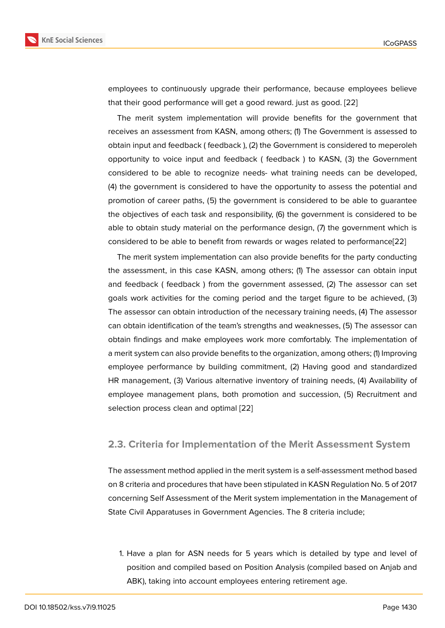employees to continuously upgrade their performance, because employees believe that their good performance will get a good reward. just as good. [22]

The merit system implementation will provide benefits for the government that receives an assessment from KASN, among others; (1) The Government is assessed to obtain input and feedback ( feedback ), (2) the Government is cons[ider](#page-17-8)ed to meperoleh opportunity to voice input and feedback ( feedback ) to KASN, (3) the Government considered to be able to recognize needs- what training needs can be developed, (4) the government is considered to have the opportunity to assess the potential and promotion of career paths, (5) the government is considered to be able to guarantee the objectives of each task and responsibility, (6) the government is considered to be able to obtain study material on the performance design, (7) the government which is considered to be able to benefit from rewards or wages related to performance[22]

The merit system implementation can also provide benefits for the party conducting the assessment, in this case KASN, among others; (1) The assessor can obtain input and feedback ( feedback ) from the government assessed, (2) The assessor c[an](#page-17-8) set goals work activities for the coming period and the target figure to be achieved, (3) The assessor can obtain introduction of the necessary training needs, (4) The assessor can obtain identification of the team's strengths and weaknesses, (5) The assessor can obtain findings and make employees work more comfortably. The implementation of a merit system can also provide benefits to the organization, among others; (1) Improving employee performance by building commitment, (2) Having good and standardized HR management, (3) Various alternative inventory of training needs, (4) Availability of employee management plans, both promotion and succession, (5) Recruitment and selection process clean and optimal [22]

### **2.3. Criteria for Implementa[tion](#page-17-8) of the Merit Assessment System**

The assessment method applied in the merit system is a self-assessment method based on 8 criteria and procedures that have been stipulated in KASN Regulation No. 5 of 2017 concerning Self Assessment of the Merit system implementation in the Management of State Civil Apparatuses in Government Agencies. The 8 criteria include;

1. Have a plan for ASN needs for 5 years which is detailed by type and level of position and compiled based on Position Analysis (compiled based on Anjab and ABK), taking into account employees entering retirement age.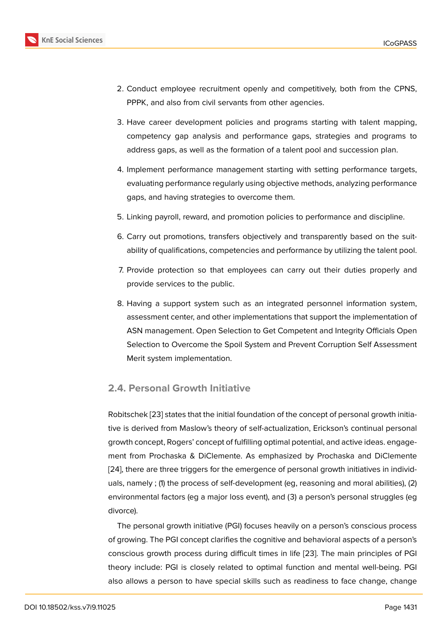- 2. Conduct employee recruitment openly and competitively, both from the CPNS, PPPK, and also from civil servants from other agencies.
- 3. Have career development policies and programs starting with talent mapping, competency gap analysis and performance gaps, strategies and programs to address gaps, as well as the formation of a talent pool and succession plan.
- 4. Implement performance management starting with setting performance targets, evaluating performance regularly using objective methods, analyzing performance gaps, and having strategies to overcome them.
- 5. Linking payroll, reward, and promotion policies to performance and discipline.
- 6. Carry out promotions, transfers objectively and transparently based on the suitability of qualifications, competencies and performance by utilizing the talent pool.
- 7. Provide protection so that employees can carry out their duties properly and provide services to the public.
- 8. Having a support system such as an integrated personnel information system, assessment center, and other implementations that support the implementation of ASN management. Open Selection to Get Competent and Integrity Officials Open Selection to Overcome the Spoil System and Prevent Corruption Self Assessment Merit system implementation.

### **2.4. Personal Growth Initiative**

Robitschek [23] states that the initial foundation of the concept of personal growth initiative is derived from Maslow's theory of self-actualization, Erickson's continual personal growth concept, Rogers' concept of fulfilling optimal potential, and active ideas. engagement from [Proc](#page-18-0)haska & DiClemente. As emphasized by Prochaska and DiClemente [24], there are three triggers for the emergence of personal growth initiatives in individuals, namely ; (1) the process of self-development (eg, reasoning and moral abilities), (2) environmental factors (eg a major loss event), and (3) a person's personal struggles (eg [divo](#page-18-1)rce).

The personal growth initiative (PGI) focuses heavily on a person's conscious process of growing. The PGI concept clarifies the cognitive and behavioral aspects of a person's conscious growth process during difficult times in life [23]. The main principles of PGI theory include: PGI is closely related to optimal function and mental well-being. PGI also allows a person to have special skills such as readiness to face change, change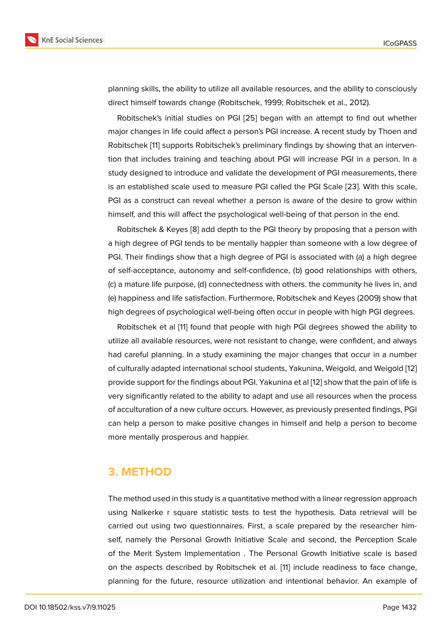planning skills, the ability to utilize all available resources, and the ability to consciously direct himself towards change (Robitschek, 1999; Robitschek et al., 2012).

Robitschek's initial studies on PGI [25] began with an attempt to find out whether major changes in life could affect a person's PGI increase. A recent study by Thoen and Robitschek [11] supports Robitschek's preliminary findings by showing that an intervention that includes training and teachi[ng a](#page-18-2)bout PGI will increase PGI in a person. In a study designed to introduce and validate the development of PGI measurements, there is an establi[sh](#page-17-0)ed scale used to measure PGI called the PGI Scale [23]. With this scale, PGI as a construct can reveal whether a person is aware of the desire to grow within himself, and this will affect the psychological well-being of that person in the end.

Robitschek & Keyes [8] add depth to the PGI theory by proposin[g th](#page-18-0)at a person with a high degree of PGI tends to be mentally happier than someone with a low degree of PGI. Their findings show that a high degree of PGI is associated with (a) a high degree of self-acceptance, aut[on](#page-16-6)omy and self-confidence, (b) good relationships with others, (c) a mature life purpose, (d) connectedness with others. the community he lives in, and (e) happiness and life satisfaction. Furthermore, Robitschek and Keyes (2009) show that high degrees of psychological well-being often occur in people with high PGI degrees.

Robitschek et al [11] found that people with high PGI degrees showed the ability to utilize all available resources, were not resistant to change, were confident, and always had careful planning. In a study examining the major changes that occur in a number of culturally adapte[d in](#page-17-0)ternational school students, Yakunina, Weigold, and Weigold [12] provide support for the findings about PGI. Yakunina et al [12] show that the pain of life is very significantly related to the ability to adapt and use all resources when the process of acculturation of a new culture occurs. However, as previously presented findings, [PGI](#page-17-1) can help a person to make positive changes in himself [and](#page-17-1) help a person to become more mentally prosperous and happier.

### **3. METHOD**

The method used in this study is a quantitative method with a linear regression approach using Nalkerke r square statistic tests to test the hypothesis. Data retrieval will be carried out using two questionnaires. First, a scale prepared by the researcher himself, namely the Personal Growth Initiative Scale and second, the Perception Scale of the Merit System Implementation . The Personal Growth Initiative scale is based on the aspects described by Robitschek et al. [11] include readiness to face change, planning for the future, resource utilization and intentional behavior. An example of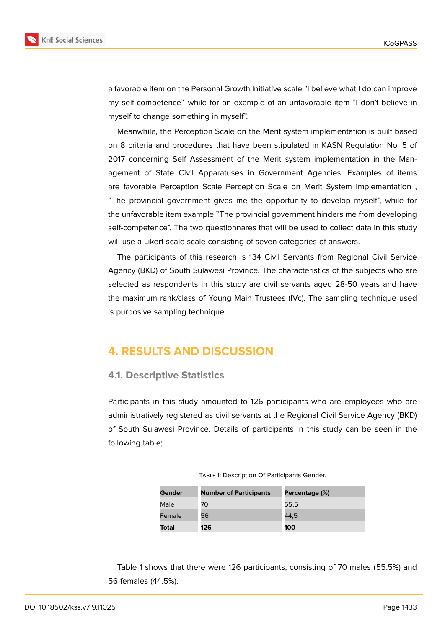

a favorable item on the Personal Growth Initiative scale "I believe what I do can improve my self-competence", while for an example of an unfavorable item "I don't believe in myself to change something in myself".

Meanwhile, the Perception Scale on the Merit system implementation is built based on 8 criteria and procedures that have been stipulated in KASN Regulation No. 5 of 2017 concerning Self Assessment of the Merit system implementation in the Management of State Civil Apparatuses in Government Agencies. Examples of items are favorable Perception Scale Perception Scale on Merit System Implementation , "The provincial government gives me the opportunity to develop myself", while for the unfavorable item example "The provincial government hinders me from developing self-competence". The two questionnares that will be used to collect data in this study will use a Likert scale scale consisting of seven categories of answers.

The participants of this research is 134 Civil Servants from Regional Civil Service Agency (BKD) of South Sulawesi Province. The characteristics of the subjects who are selected as respondents in this study are civil servants aged 28-50 years and have the maximum rank/class of Young Main Trustees (IVc). The sampling technique used is purposive sampling technique.

# **4. RESULTS AND DISCUSSION**

### **4.1. Descriptive Statistics**

Participants in this study amounted to 126 participants who are employees who are administratively registered as civil servants at the Regional Civil Service Agency (BKD) of South Sulawesi Province. Details of participants in this study can be seen in the following table;

| Gender | <b>Number of Participants</b> | Percentage (%) |
|--------|-------------------------------|----------------|
| Male   | 70                            | 55.5           |
| Female | 56                            | 44.5           |
| Total  | 126                           | 100            |

Table 1 shows that there were 126 participants, consisting of 70 males (55.5%) and 56 females (44.5%).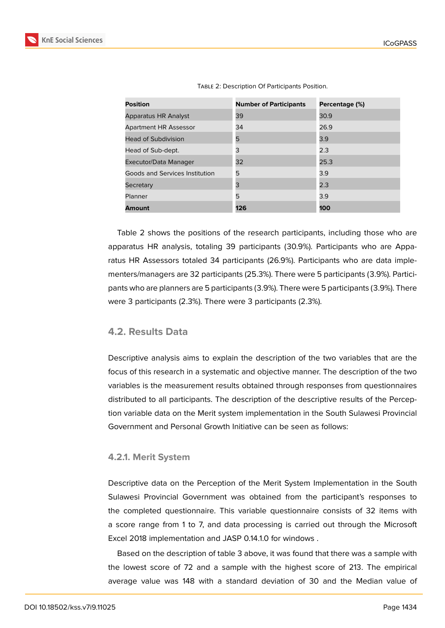| <b>Position</b>                | <b>Number of Participants</b> | Percentage (%) |
|--------------------------------|-------------------------------|----------------|
| <b>Apparatus HR Analyst</b>    | 39                            | 30.9           |
| <b>Apartment HR Assessor</b>   | 34                            | 26.9           |
| Head of Subdivision            | 5                             | 3.9            |
| Head of Sub-dept.              | 3                             | 2.3            |
| Executor/Data Manager          | 32                            | 25.3           |
| Goods and Services Institution | 5                             | 3.9            |
| Secretary                      | 3                             | 2.3            |
| Planner                        | 5                             | 3.9            |
| <b>Amount</b>                  | 126                           | 100            |

Table 2: Description Of Participants Position.

Table 2 shows the positions of the research participants, including those who are apparatus HR analysis, totaling 39 participants (30.9%). Participants who are Apparatus HR Assessors totaled 34 participants (26.9%). Participants who are data implementers/managers are 32 participants (25.3%). There were 5 participants (3.9%). Participants who are planners are 5 participants (3.9%). There were 5 participants (3.9%). There were 3 participants (2.3%). There were 3 participants (2.3%).

### **4.2. Results Data**

Descriptive analysis aims to explain the description of the two variables that are the focus of this research in a systematic and objective manner. The description of the two variables is the measurement results obtained through responses from questionnaires distributed to all participants. The description of the descriptive results of the Perception variable data on the Merit system implementation in the South Sulawesi Provincial Government and Personal Growth Initiative can be seen as follows:

### **4.2.1. Merit System**

Descriptive data on the Perception of the Merit System Implementation in the South Sulawesi Provincial Government was obtained from the participant's responses to the completed questionnaire. This variable questionnaire consists of 32 items with a score range from 1 to 7, and data processing is carried out through the Microsoft Excel 2018 implementation and JASP 0.14.1.0 for windows .

Based on the description of table 3 above, it was found that there was a sample with the lowest score of 72 and a sample with the highest score of 213. The empirical average value was 148 with a standard deviation of 30 and the Median value of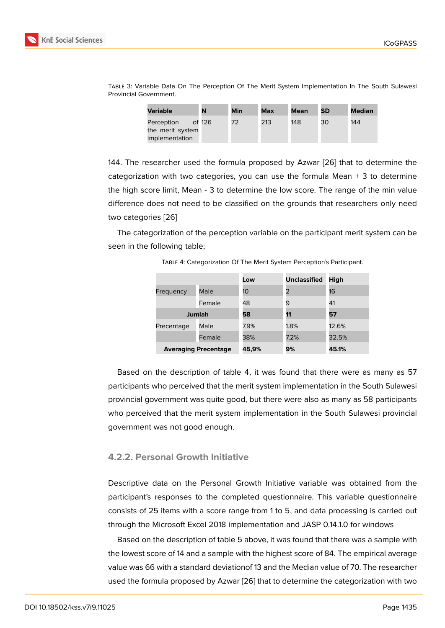| Variable         | N      | Min | Max | Mean | <b>SD</b> | <b>Median</b> |
|------------------|--------|-----|-----|------|-----------|---------------|
| Perception       | of 126 | 72  | 213 | 148  | 30        | 144           |
| the merit system |        |     |     |      |           |               |
| implementation   |        |     |     |      |           |               |

Table 3: Variable Data On The Perception Of The Merit System Implementation In The South Sulawesi Provincial Government.

144. The researcher used the formula proposed by Azwar [26] that to determine the categorization with two categories, you can use the formula Mean  $+$  3 to determine the high score limit, Mean - 3 to determine the low score. The range of the min value difference does not need to be classified on the grounds t[hat](#page-18-3) researchers only need two categories [26]

The categorization of the perception variable on the participant merit system can be seen in the following table;

|                             |        | Low   | <b>Unclassified</b> | High  |
|-----------------------------|--------|-------|---------------------|-------|
| Frequency                   | Male   | 10    | 2                   | 16    |
|                             | Female | 48    | 9                   | 41    |
| <b>Jumlah</b>               |        | 58    | 11                  | 57    |
| Precentage                  | Male   | 7.9%  | 1.8%                | 12.6% |
|                             | Female | 38%   | 7.2%                | 32.5% |
| <b>Averaging Precentage</b> |        | 45,9% | 9%                  | 45.1% |

T[abl](#page-18-3)e 4: Categorization Of The Merit System Perception's Participant.

Based on the description of table 4, it was found that there were as many as 57 participants who perceived that the merit system implementation in the South Sulawesi provincial government was quite good, but there were also as many as 58 participants who perceived that the merit system implementation in the South Sulawesi provincial government was not good enough.

#### **4.2.2. Personal Growth Initiative**

Descriptive data on the Personal Growth Initiative variable was obtained from the participant's responses to the completed questionnaire. This variable questionnaire consists of 25 items with a score range from 1 to 5, and data processing is carried out through the Microsoft Excel 2018 implementation and JASP 0.14.1.0 for windows

Based on the description of table 5 above, it was found that there was a sample with the lowest score of 14 and a sample with the highest score of 84. The empirical average value was 66 with a standard deviationof 13 and the Median value of 70. The researcher used the formula proposed by Azwar [26] that to determine the categorization with two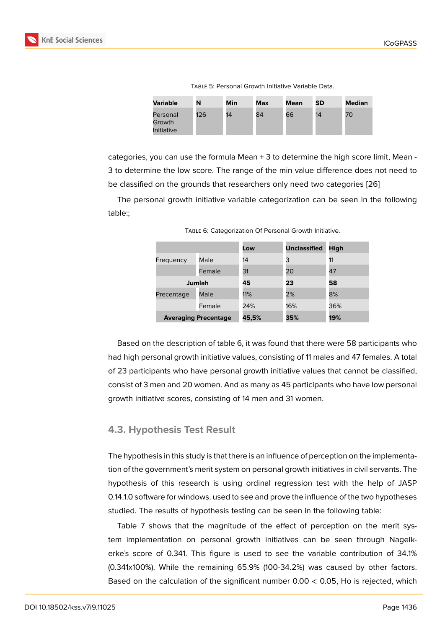Table 5: Personal Growth Initiative Variable Data.

| Variable                         | N   | Min | Max | Mean | SD | Median |
|----------------------------------|-----|-----|-----|------|----|--------|
| Personal<br>Growth<br>Initiative | 126 | 14  | 84  | 66   | 14 | 70     |

categories, you can use the formula Mean + 3 to determine the high score limit, Mean - 3 to determine the low score. The range of the min value difference does not need to be classified on the grounds that researchers only need two categories [26]

The personal growth initiative variable categorization can be seen in the following table:;

|            |                             | Low   | <b>Unclassified</b> | High |
|------------|-----------------------------|-------|---------------------|------|
| Frequency  | Male                        | 14    | 3                   | 11   |
|            | Female                      | 31    | 20                  | 47   |
| Jumlah     |                             | 45    | 23                  | 58   |
| Precentage | Male                        | 11%   | 2%                  | 8%   |
|            | Female                      | 24%   | 16%                 | 36%  |
|            | <b>Averaging Precentage</b> | 45,5% | 35%                 | 19%  |

Table 6: Categorization Of Personal Growth Initiative.

Based on the description of table 6, it was found that there were 58 participants who had high personal growth initiative values, consisting of 11 males and 47 females. A total of 23 participants who have personal growth initiative values that cannot be classified, consist of 3 men and 20 women. And as many as 45 participants who have low personal growth initiative scores, consisting of 14 men and 31 women.

### **4.3. Hypothesis Test Result**

The hypothesis in this study is that there is an influence of perception on the implementation of the government's merit system on personal growth initiatives in civil servants. The hypothesis of this research is using ordinal regression test with the help of JASP 0.14.1.0 software for windows. used to see and prove the influence of the two hypotheses studied. The results of hypothesis testing can be seen in the following table:

Table 7 shows that the magnitude of the effect of perception on the merit system implementation on personal growth initiatives can be seen through Nagelkerke's score of 0.341. This figure is used to see the variable contribution of 34.1% (0.341x100%). While the remaining 65.9% (100-34.2%) was caused by other factors. Based on the calculation of the significant number 0.00 < 0.05, Ho is rejected, which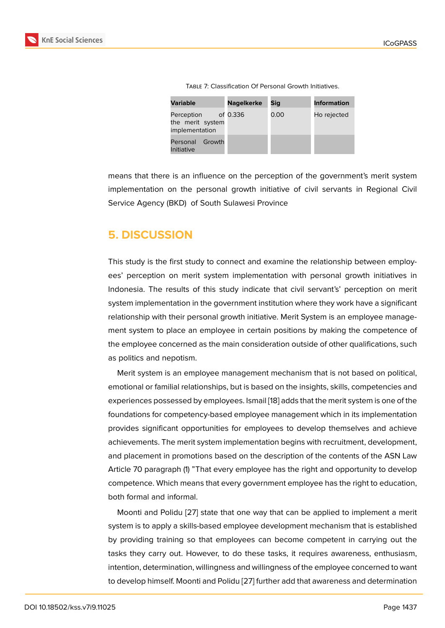|  |  |  | <b>TABLE 7: Classification Of Personal Growth Initiatives.</b> |  |  |
|--|--|--|----------------------------------------------------------------|--|--|
|--|--|--|----------------------------------------------------------------|--|--|

| <b>Variable</b>                                  | <b>Nagelkerke</b> | Sig  | <b>Information</b> |
|--------------------------------------------------|-------------------|------|--------------------|
| Perception<br>the merit system<br>implementation | of 0.336          | 0.00 | Ho rejected        |
| Personal<br>Growth<br>Initiative                 |                   |      |                    |

means that there is an influence on the perception of the government's merit system implementation on the personal growth initiative of civil servants in Regional Civil Service Agency (BKD) of South Sulawesi Province

# **5. DISCUSSION**

This study is the first study to connect and examine the relationship between employees' perception on merit system implementation with personal growth initiatives in Indonesia. The results of this study indicate that civil servant's' perception on merit system implementation in the government institution where they work have a significant relationship with their personal growth initiative. Merit System is an employee management system to place an employee in certain positions by making the competence of the employee concerned as the main consideration outside of other qualifications, such as politics and nepotism.

Merit system is an employee management mechanism that is not based on political, emotional or familial relationships, but is based on the insights, skills, competencies and experiences possessed by employees. Ismail [18] adds that the merit system is one of the foundations for competency-based employee management which in its implementation provides significant opportunities for employees to develop themselves and achieve achievements. The merit system implementati[on](#page-17-9) begins with recruitment, development, and placement in promotions based on the description of the contents of the ASN Law Article 70 paragraph (1) "That every employee has the right and opportunity to develop competence. Which means that every government employee has the right to education, both formal and informal.

Moonti and Polidu [27] state that one way that can be applied to implement a merit system is to apply a skills-based employee development mechanism that is established by providing training so that employees can become competent in carrying out the tasks they carry out. [Ho](#page-18-4)wever, to do these tasks, it requires awareness, enthusiasm, intention, determination, willingness and willingness of the employee concerned to want to develop himself. Moonti and Polidu [27] further add that awareness and determination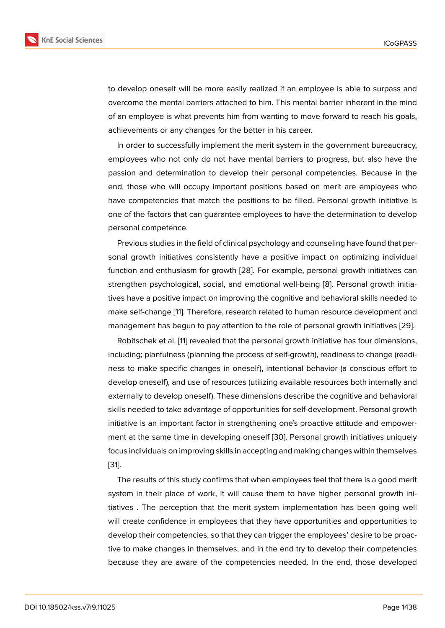to develop oneself will be more easily realized if an employee is able to surpass and overcome the mental barriers attached to him. This mental barrier inherent in the mind of an employee is what prevents him from wanting to move forward to reach his goals, achievements or any changes for the better in his career.

In order to successfully implement the merit system in the government bureaucracy, employees who not only do not have mental barriers to progress, but also have the passion and determination to develop their personal competencies. Because in the end, those who will occupy important positions based on merit are employees who have competencies that match the positions to be filled. Personal growth initiative is one of the factors that can guarantee employees to have the determination to develop personal competence.

Previous studies in the field of clinical psychology and counseling have found that personal growth initiatives consistently have a positive impact on optimizing individual function and enthusiasm for growth [28]. For example, personal growth initiatives can strengthen psychological, social, and emotional well-being [8]. Personal growth initiatives have a positive impact on improving the cognitive and behavioral skills needed to make self-change [11]. Therefore, res[earc](#page-18-5)h related to human resource development and management has begun to pay attention to the role of perso[na](#page-16-6)l growth initiatives [29].

Robitschek et al. [11] revealed that the personal growth initiative has four dimensions, including; planfuln[es](#page-17-0)s (planning the process of self-growth), readiness to change (readiness to make specific changes in oneself), intentional behavior (a conscious eff[ort t](#page-18-6)o develop oneself), a[nd](#page-17-0) use of resources (utilizing available resources both internally and externally to develop oneself). These dimensions describe the cognitive and behavioral skills needed to take advantage of opportunities for self-development. Personal growth initiative is an important factor in strengthening one's proactive attitude and empowerment at the same time in developing oneself [30]. Personal growth initiatives uniquely focus individuals on improving skills in accepting and making changes within themselves [31].

The results of this study confirms that when [emp](#page-18-7)loyees feel that there is a good merit system in their place of work, it will cause them to have higher personal growth ini[tiat](#page-18-8)ives . The perception that the merit system implementation has been going well will create confidence in employees that they have opportunities and opportunities to develop their competencies, so that they can trigger the employees' desire to be proactive to make changes in themselves, and in the end try to develop their competencies because they are aware of the competencies needed. In the end, those developed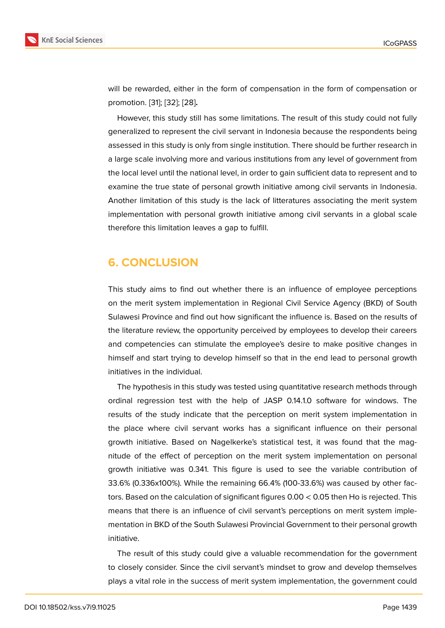will be rewarded, either in the form of compensation in the form of compensation or promotion. [31]; [32]; [28]**.**

However, this study still has some limitations. The result of this study could not fully generalized to represent the civil servant in Indonesia because the respondents being assessed in [th](#page-18-8)is [stu](#page-18-9)d[y is](#page-18-5) only from single institution. There should be further research in a large scale involving more and various institutions from any level of government from the local level until the national level, in order to gain sufficient data to represent and to examine the true state of personal growth initiative among civil servants in Indonesia. Another limitation of this study is the lack of litteratures associating the merit system implementation with personal growth initiative among civil servants in a global scale therefore this limitation leaves a gap to fulfill.

# **6. CONCLUSION**

This study aims to find out whether there is an influence of employee perceptions on the merit system implementation in Regional Civil Service Agency (BKD) of South Sulawesi Province and find out how significant the influence is. Based on the results of the literature review, the opportunity perceived by employees to develop their careers and competencies can stimulate the employee's desire to make positive changes in himself and start trying to develop himself so that in the end lead to personal growth initiatives in the individual.

The hypothesis in this study was tested using quantitative research methods through ordinal regression test with the help of JASP 0.14.1.0 software for windows. The results of the study indicate that the perception on merit system implementation in the place where civil servant works has a significant influence on their personal growth initiative. Based on Nagelkerke's statistical test, it was found that the magnitude of the effect of perception on the merit system implementation on personal growth initiative was 0.341. This figure is used to see the variable contribution of 33.6% (0.336x100%). While the remaining 66.4% (100-33.6%) was caused by other factors. Based on the calculation of significant figures 0.00 < 0.05 then Ho is rejected. This means that there is an influence of civil servant's perceptions on merit system implementation in BKD of the South Sulawesi Provincial Government to their personal growth initiative.

The result of this study could give a valuable recommendation for the government to closely consider. Since the civil servant's mindset to grow and develop themselves plays a vital role in the success of merit system implementation, the government could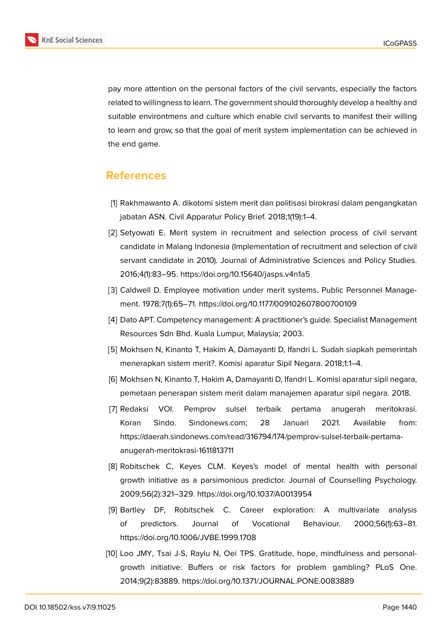

pay more attention on the personal factors of the civil servants, especially the factors related to willingness to learn. The government should thoroughly develop a healthy and suitable environtmens and culture which enable civil servants to manifest their willing to learn and grow, so that the goal of merit system implementation can be achieved in the end game.

# **References**

- <span id="page-16-0"></span>[1] Rakhmawanto A. dikotomi sistem merit dan politisasi birokrasi dalam pengangkatan jabatan ASN. Civil Apparatur Policy Brief. 2018;1(19):1–4.
- <span id="page-16-1"></span>[2] Setyowati E. Merit system in recruitment and selection process of civil servant candidate in Malang Indonesia (Implementation of recruitment and selection of civil servant candidate in 2010). Journal of Administrative Sciences and Policy Studies. 2016;4(1):83–95. https://doi.org/10.15640/jasps.v4n1a5
- [3] Caldwell D. Employee motivation under merit systems. Public Personnel Management. 1978;7(1):65–71. https://doi.org/10.1177/009102607800700109
- <span id="page-16-2"></span>[4] Dato APT. Competency management: A practitioner's guide. Specialist Management Resources Sdn Bhd. Kuala Lumpur, Malaysia; 2003.
- <span id="page-16-3"></span>[5] Mokhsen N, Kinanto T, Hakim A, Damayanti D, Ifandri L. Sudah siapkah pemerintah menerapkan sistem merit?. Komisi aparatur Sipil Negara. 2018;1:1–4.
- <span id="page-16-4"></span>[6] Mokhsen N, Kinanto T, Hakim A, Damayanti D, Ifandri L. Komisi aparatur sipil negara, pemetaan penerapan sistem merit dalam manajemen aparatur sipil negara. 2018.
- <span id="page-16-5"></span>[7] Redaksi VOI. Pemprov sulsel terbaik pertama anugerah meritokrasi. Koran Sindo. Sindonews.com; 28 Januari 2021. Available from: https://daerah.sindonews.com/read/316794/174/pemprov-sulsel-terbaik-pertamaanugerah-meritokrasi-1611813711
- <span id="page-16-6"></span>[8] Robitschek C, Keyes CLM. Keyes's model of mental health with personal growth initiative as a parsimonious predictor. Journal of Counselling Psychology. 2009;56(2):321–329. https://doi.org/10.1037/A0013954
- <span id="page-16-7"></span>[9] Bartley DF, Robitschek C. Career exploration: A multivariate analysis of predictors. Journal of Vocational Behaviour. 2000;56(1):63–81. https://doi.org/10.1006/JVBE.1999.1708
- <span id="page-16-8"></span>[10] Loo JMY, Tsai J-S, Raylu N, Oei TPS. Gratitude, hope, mindfulness and personalgrowth initiative: Buffers or risk factors for problem gambling? PLoS One. 2014;9(2):83889. https://doi.org/10.1371/JOURNAL.PONE.0083889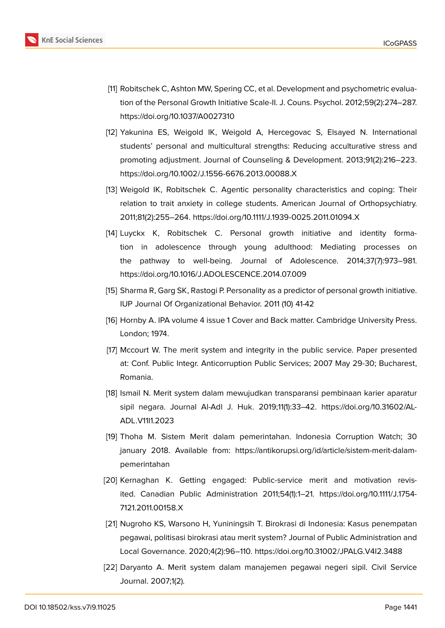

- <span id="page-17-0"></span>[11] Robitschek C, Ashton MW, Spering CC, et al. Development and psychometric evaluation of the Personal Growth Initiative Scale-II. J. Couns. Psychol. 2012;59(2):274–287. https://doi.org/10.1037/A0027310
- <span id="page-17-1"></span>[12] Yakunina ES, Weigold IK, Weigold A, Hercegovac S, Elsayed N. International students' personal and multicultural strengths: Reducing acculturative stress and promoting adjustment. Journal of Counseling & Development. 2013;91(2):216–223. https://doi.org/10.1002/J.1556-6676.2013.00088.X
- <span id="page-17-2"></span>[13] Weigold IK, Robitschek C. Agentic personality characteristics and coping: Their relation to trait anxiety in college students. American Journal of Orthopsychiatry. 2011;81(2):255–264. https://doi.org/10.1111/J.1939-0025.2011.01094.X
- <span id="page-17-3"></span>[14] Luyckx K, Robitschek C. Personal growth initiative and identity formation in adolescence through young adulthood: Mediating processes on the pathway to well-being. Journal of Adolescence. 2014;37(7):973–981. https://doi.org/10.1016/J.ADOLESCENCE.2014.07.009
- [15] Sharma R, Garg SK, Rastogi P. Personality as a predictor of personal growth initiative. IUP Journal Of Organizational Behavior. 2011 (10) 41-42
- <span id="page-17-4"></span>[16] Hornby A. IPA volume 4 issue 1 Cover and Back matter. Cambridge University Press. London; 1974.
- <span id="page-17-5"></span>[17] Mccourt W. The merit system and integrity in the public service. Paper presented at: Conf. Public Integr. Anticorruption Public Services; 2007 May 29-30; Bucharest, Romania.
- <span id="page-17-9"></span>[18] Ismail N. Merit system dalam mewujudkan transparansi pembinaan karier aparatur sipil negara. Journal Al-Adl J. Huk. 2019;11(1):33–42. https://doi.org/10.31602/AL-ADL.V11I1.2023
- <span id="page-17-6"></span>[19] Thoha M. Sistem Merit dalam pemerintahan. Indonesia Corruption Watch; 30 january 2018. Available from: https://antikorupsi.org/id/article/sistem-merit-dalampemerintahan
- <span id="page-17-7"></span>[20] Kernaghan K. Getting engaged: Public-service merit and motivation revisited. Canadian Public Administration 2011;54(1):1–21. https://doi.org/10.1111/J.1754- 7121.2011.00158.X
- [21] Nugroho KS, Warsono H, Yuniningsih T. Birokrasi di Indonesia: Kasus penempatan pegawai, politisasi birokrasi atau merit system? Journal of Public Administration and Local Governance. 2020;4(2):96–110. https://doi.org/10.31002/JPALG.V4I2.3488
- <span id="page-17-8"></span>[22] Daryanto A. Merit system dalam manajemen pegawai negeri sipil. Civil Service Journal. 2007;1(2).